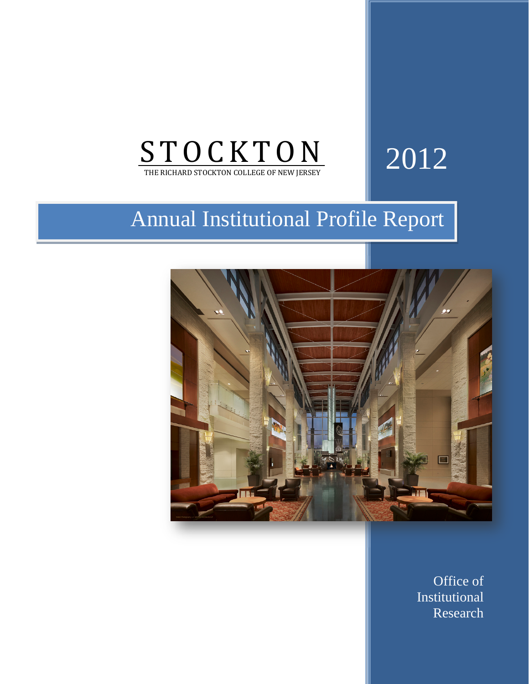

# 2012

## Annual Institutional Profile Report



Office of Office of Institutional Institutional Research Research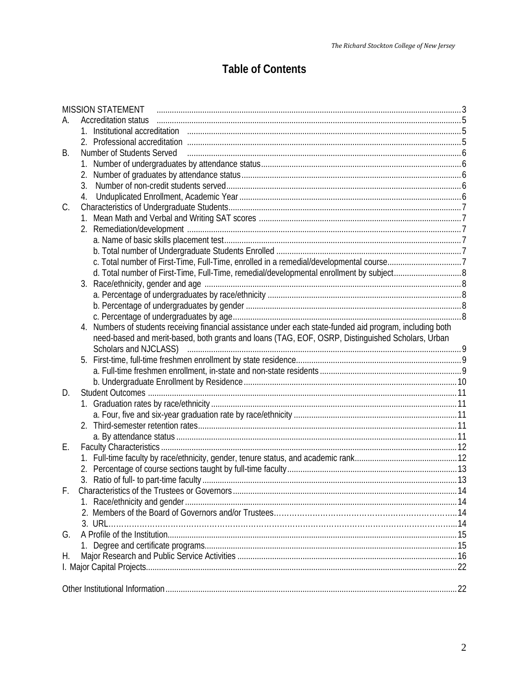### **Table of Contents**

|    | <b>MISSION STATEMENT</b>                                                                                                                                                                                                       |  |
|----|--------------------------------------------------------------------------------------------------------------------------------------------------------------------------------------------------------------------------------|--|
| А. | <b>Accreditation status</b>                                                                                                                                                                                                    |  |
|    | 1. Institutional accreditation manufactured contract to the set of the set of the set of the set of the set of                                                                                                                 |  |
|    | 2. Professional accreditation manufactured and the set of the state of the state of the state of the state of the state of the state of the state of the state of the state of the state of the state of the state of the stat |  |
| В. | Number of Students Served Figure 2010 and the contract of Students Served Contract and Students Served Figure                                                                                                                  |  |
|    |                                                                                                                                                                                                                                |  |
|    |                                                                                                                                                                                                                                |  |
|    |                                                                                                                                                                                                                                |  |
|    | 4.                                                                                                                                                                                                                             |  |
| C. |                                                                                                                                                                                                                                |  |
|    |                                                                                                                                                                                                                                |  |
|    |                                                                                                                                                                                                                                |  |
|    |                                                                                                                                                                                                                                |  |
|    |                                                                                                                                                                                                                                |  |
|    | c. Total number of First-Time, Full-Time, enrolled in a remedial/developmental course7                                                                                                                                         |  |
|    |                                                                                                                                                                                                                                |  |
|    |                                                                                                                                                                                                                                |  |
|    |                                                                                                                                                                                                                                |  |
|    |                                                                                                                                                                                                                                |  |
|    |                                                                                                                                                                                                                                |  |
|    | 4. Numbers of students receiving financial assistance under each state-funded aid program, including both                                                                                                                      |  |
|    | need-based and merit-based, both grants and loans (TAG, EOF, OSRP, Distinguished Scholars, Urban                                                                                                                               |  |
|    |                                                                                                                                                                                                                                |  |
|    |                                                                                                                                                                                                                                |  |
|    |                                                                                                                                                                                                                                |  |
|    |                                                                                                                                                                                                                                |  |
| D. |                                                                                                                                                                                                                                |  |
|    |                                                                                                                                                                                                                                |  |
|    |                                                                                                                                                                                                                                |  |
|    |                                                                                                                                                                                                                                |  |
| Е. |                                                                                                                                                                                                                                |  |
|    |                                                                                                                                                                                                                                |  |
|    |                                                                                                                                                                                                                                |  |
|    |                                                                                                                                                                                                                                |  |
|    |                                                                                                                                                                                                                                |  |
|    |                                                                                                                                                                                                                                |  |
|    |                                                                                                                                                                                                                                |  |
|    |                                                                                                                                                                                                                                |  |
| G. |                                                                                                                                                                                                                                |  |
|    |                                                                                                                                                                                                                                |  |
| Н. |                                                                                                                                                                                                                                |  |
|    |                                                                                                                                                                                                                                |  |
|    |                                                                                                                                                                                                                                |  |
|    |                                                                                                                                                                                                                                |  |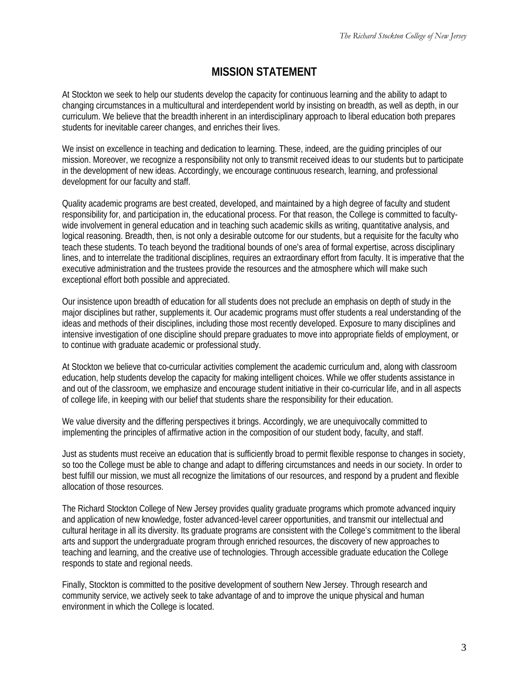### **MISSION STATEMENT**

At Stockton we seek to help our students develop the capacity for continuous learning and the ability to adapt to changing circumstances in a multicultural and interdependent world by insisting on breadth, as well as depth, in our curriculum. We believe that the breadth inherent in an interdisciplinary approach to liberal education both prepares students for inevitable career changes, and enriches their lives.

We insist on excellence in teaching and dedication to learning. These, indeed, are the guiding principles of our mission. Moreover, we recognize a responsibility not only to transmit received ideas to our students but to participate in the development of new ideas. Accordingly, we encourage continuous research, learning, and professional development for our faculty and staff.

Quality academic programs are best created, developed, and maintained by a high degree of faculty and student responsibility for, and participation in, the educational process. For that reason, the College is committed to facultywide involvement in general education and in teaching such academic skills as writing, quantitative analysis, and logical reasoning. Breadth, then, is not only a desirable outcome for our students, but a requisite for the faculty who teach these students. To teach beyond the traditional bounds of one's area of formal expertise, across disciplinary lines, and to interrelate the traditional disciplines, requires an extraordinary effort from faculty. It is imperative that the executive administration and the trustees provide the resources and the atmosphere which will make such exceptional effort both possible and appreciated.

Our insistence upon breadth of education for all students does not preclude an emphasis on depth of study in the major disciplines but rather, supplements it. Our academic programs must offer students a real understanding of the ideas and methods of their disciplines, including those most recently developed. Exposure to many disciplines and intensive investigation of one discipline should prepare graduates to move into appropriate fields of employment, or to continue with graduate academic or professional study.

At Stockton we believe that co-curricular activities complement the academic curriculum and, along with classroom education, help students develop the capacity for making intelligent choices. While we offer students assistance in and out of the classroom, we emphasize and encourage student initiative in their co-curricular life, and in all aspects of college life, in keeping with our belief that students share the responsibility for their education.

We value diversity and the differing perspectives it brings. Accordingly, we are unequivocally committed to implementing the principles of affirmative action in the composition of our student body, faculty, and staff.

Just as students must receive an education that is sufficiently broad to permit flexible response to changes in society, so too the College must be able to change and adapt to differing circumstances and needs in our society. In order to best fulfill our mission, we must all recognize the limitations of our resources, and respond by a prudent and flexible allocation of those resources.

The Richard Stockton College of New Jersey provides quality graduate programs which promote advanced inquiry and application of new knowledge, foster advanced-level career opportunities, and transmit our intellectual and cultural heritage in all its diversity. Its graduate programs are consistent with the College's commitment to the liberal arts and support the undergraduate program through enriched resources, the discovery of new approaches to teaching and learning, and the creative use of technologies. Through accessible graduate education the College responds to state and regional needs.

Finally, Stockton is committed to the positive development of southern New Jersey. Through research and community service, we actively seek to take advantage of and to improve the unique physical and human environment in which the College is located.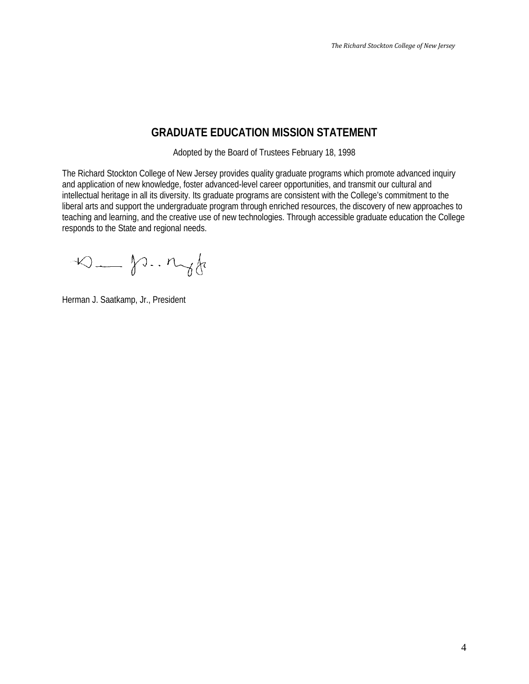### **GRADUATE EDUCATION MISSION STATEMENT**

Adopted by the Board of Trustees February 18, 1998

The Richard Stockton College of New Jersey provides quality graduate programs which promote advanced inquiry and application of new knowledge, foster advanced-level career opportunities, and transmit our cultural and intellectual heritage in all its diversity. Its graduate programs are consistent with the College's commitment to the liberal arts and support the undergraduate program through enriched resources, the discovery of new approaches to teaching and learning, and the creative use of new technologies. Through accessible graduate education the College responds to the State and regional needs.

 $\infty$  - p.  $n_{\gamma}$  for

Herman J. Saatkamp, Jr., President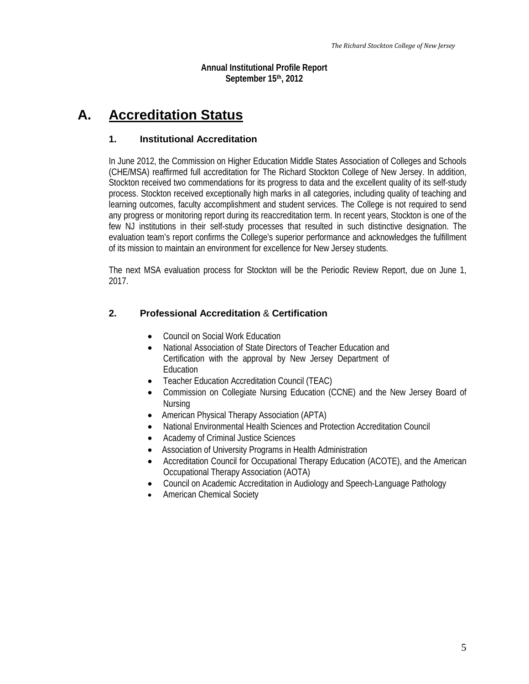**Annual Institutional Profile Report September 15th, 2012**

### <span id="page-4-0"></span>**A. Accreditation Status**

### **1. Institutional Accreditation**

In June 2012, the Commission on Higher Education Middle States Association of Colleges and Schools (CHE/MSA) reaffirmed full accreditation for The Richard Stockton College of New Jersey. In addition, Stockton received two commendations for its progress to data and the excellent quality of its self-study process. Stockton received exceptionally high marks in all categories, including quality of teaching and learning outcomes, faculty accomplishment and student services. The College is not required to send any progress or monitoring report during its reaccreditation term. In recent years, Stockton is one of the few NJ institutions in their self-study processes that resulted in such distinctive designation. The evaluation team's report confirms the College's superior performance and acknowledges the fulfillment of its mission to maintain an environment for excellence for New Jersey students.

The next MSA evaluation process for Stockton will be the Periodic Review Report, due on June 1, 2017.

### **2. Professional Accreditation** & **Certification**

- Council on Social Work Education
- National Association of State Directors of Teacher Education and Certification with the approval by New Jersey Department of Education
- Teacher Education Accreditation Council (TEAC)
- Commission on Collegiate Nursing Education (CCNE) and the New Jersey Board of Nursing
- American Physical Therapy Association (APTA)
- National Environmental Health Sciences and Protection Accreditation Council
- Academy of Criminal Justice Sciences
- Association of University Programs in Health Administration
- Accreditation Council for Occupational Therapy Education (ACOTE), and the American Occupational Therapy Association (AOTA)
- Council on Academic Accreditation in Audiology and Speech-Language Pathology
- American Chemical Society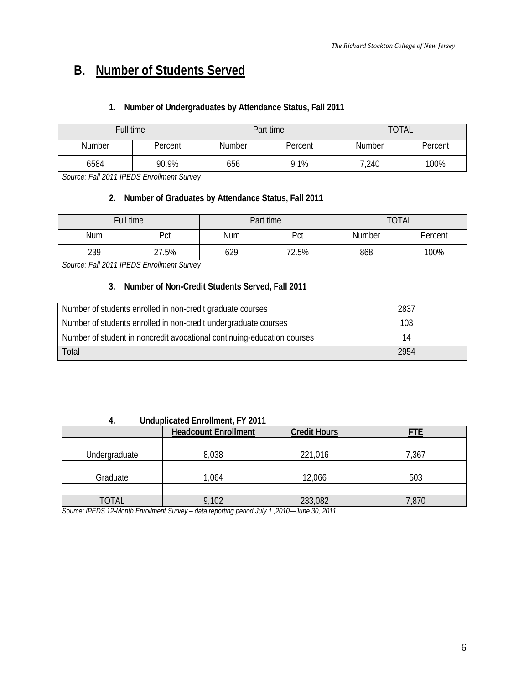### <span id="page-5-0"></span>**B. Number of Students Served**

### **1. Number of Undergraduates by Attendance Status, Fall 2011**

| Full time |         |        | Part time | <b>TOTAL</b>             |  |  |  |
|-----------|---------|--------|-----------|--------------------------|--|--|--|
| Number    | Percent | Number | Percent   | <b>Number</b><br>Percent |  |  |  |
| 6584      | 90.9%   |        | 9.1%      | 100%<br>7,240            |  |  |  |

*Source: Fall 2011 IPEDS Enrollment Survey*

### **2. Number of Graduates by Attendance Status, Fall 2011**

| Full time |       |     | Part time | <b>TOTAL</b>      |  |  |  |
|-----------|-------|-----|-----------|-------------------|--|--|--|
| Num       | Pct   | Num | Pct       | Number<br>Percent |  |  |  |
| 239       | 27.5% |     | 72.5%     | 100%<br>868       |  |  |  |

*Source: Fall 2011 IPEDS Enrollment Survey*

### **3. Number of Non-Credit Students Served, Fall 2011**

| Number of students enrolled in non-credit graduate courses              | 2837 |
|-------------------------------------------------------------------------|------|
| Number of students enrolled in non-credit undergraduate courses         | 103  |
| Number of student in noncredit avocational continuing-education courses |      |
| Total                                                                   | 2954 |

#### **4. Unduplicated Enrollment, FY 2011**

|               | <b>Headcount Enrollment</b> | <b>Credit Hours</b> |       |  |
|---------------|-----------------------------|---------------------|-------|--|
|               |                             |                     |       |  |
| Undergraduate | 8,038                       | 221,016             | 7,367 |  |
|               |                             |                     |       |  |
| Graduate      | ,064                        | 12,066              | 503   |  |
|               |                             |                     |       |  |
| <b>TOTAL</b>  | 9,102                       | 233,082             | 7,870 |  |

*Source: IPEDS 12-Month Enrollment Survey* – *data reporting period July 1 ,2010—June 30, 2011*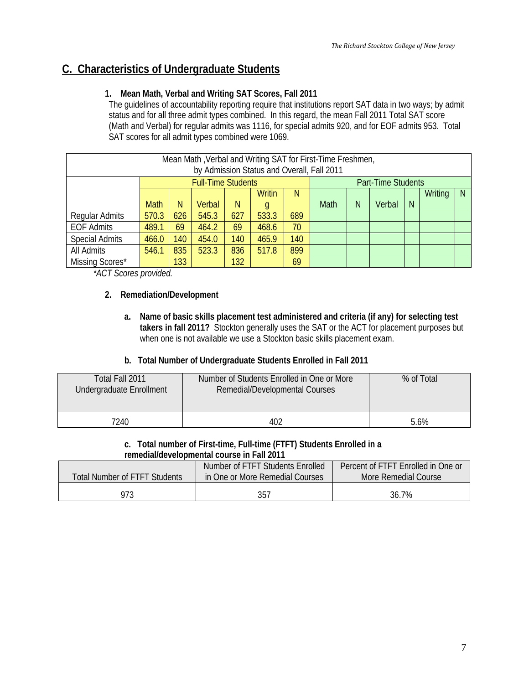### <span id="page-6-0"></span>**C. Characteristics of Undergraduate Students**

### **1. Mean Math, Verbal and Writing SAT Scores, Fall 2011**

The guidelines of accountability reporting require that institutions report SAT data in two ways; by admit status and for all three admit types combined. In this regard, the mean Fall 2011 Total SAT score (Math and Verbal) for regular admits was 1116, for special admits 920, and for EOF admits 953. Total SAT scores for all admit types combined were 1069.

|                                                            |             |     |                           |     |        |     | Mean Math, Verbal and Writing SAT for First-Time Freshmen, |   |        |              |         |   |
|------------------------------------------------------------|-------------|-----|---------------------------|-----|--------|-----|------------------------------------------------------------|---|--------|--------------|---------|---|
| by Admission Status and Overall, Fall 2011                 |             |     |                           |     |        |     |                                                            |   |        |              |         |   |
|                                                            |             |     | <b>Full-Time Students</b> |     |        |     | <b>Part-Time Students</b>                                  |   |        |              |         |   |
|                                                            |             |     |                           |     | Writin | N   |                                                            |   |        |              | Writing | N |
|                                                            | <b>Math</b> | N   | Verbal                    | N   |        |     | Math                                                       | N | Verbal | <sup>N</sup> |         |   |
| Regular Admits                                             | 570.3       | 626 | 545.3                     | 627 | 533.3  | 689 |                                                            |   |        |              |         |   |
| <b>EOF Admits</b>                                          | 489.1       | 69  | 464.2                     | 69  | 468.6  | 70  |                                                            |   |        |              |         |   |
| <b>Special Admits</b>                                      | 466.0       | 140 | 454.0                     | 140 | 465.9  | 140 |                                                            |   |        |              |         |   |
| All Admits<br>835<br>523.3<br>899<br>836<br>546.1<br>517.8 |             |     |                           |     |        |     |                                                            |   |        |              |         |   |
| Missing Scores*<br>133<br>132<br>69                        |             |     |                           |     |        |     |                                                            |   |        |              |         |   |

*\*ACT Scores provided.*

### **2. Remediation/Development**

**a. Name of basic skills placement test administered and criteria (if any) for selecting test takers in fall 2011?** Stockton generally uses the SAT or the ACT for placement purposes but when one is not available we use a Stockton basic skills placement exam.

### **b. Total Number of Undergraduate Students Enrolled in Fall 2011**

| Total Fall 2011<br>Undergraduate Enrollment | Number of Students Enrolled in One or More<br>Remedial/Developmental Courses | % of Total |
|---------------------------------------------|------------------------------------------------------------------------------|------------|
| 7240                                        | 402                                                                          | 5.6%       |

#### **c. Total number of First-time, Full-time (FTFT) Students Enrolled in a remedial/developmental course in Fall 2011**

| Total Number of FTFT Students | Number of FTFT Students Enrolled<br>in One or More Remedial Courses | Percent of FTFT Enrolled in One or<br>More Remedial Course |
|-------------------------------|---------------------------------------------------------------------|------------------------------------------------------------|
| 973                           | 357                                                                 | 36.7%                                                      |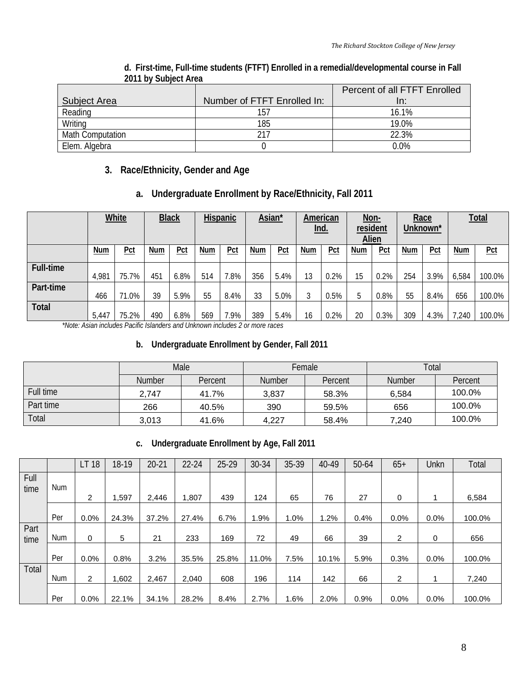<span id="page-7-0"></span>

|                         |                             | Percent of all FTFT Enrolled |
|-------------------------|-----------------------------|------------------------------|
| <b>Subject Area</b>     | Number of FTFT Enrolled In: | In:                          |
| Reading                 |                             | 16.1%                        |
| Writing                 | 185                         | 19 0 <sub>%</sub>            |
| <b>Math Computation</b> |                             | 22.3%                        |
| Elem. Algebra           |                             | 0.0%                         |

#### **d. First-time, Full-time students (FTFT) Enrolled in a remedial/developmental course in Fall 2011 by Subject Area**

**3. Race/Ethnicity, Gender and Age** 

### **a. Undergraduate Enrollment by Race/Ethnicity, Fall 2011**

|                   | <b>White</b> |               |            | <b>Black</b> |     | <b>Hispanic</b> |     | Asian* |            | American<br><u>Ind.</u> | resident | Non-<br><b>Alien</b> |     | Race<br>Unknown* |       | <b>Total</b> |
|-------------------|--------------|---------------|------------|--------------|-----|-----------------|-----|--------|------------|-------------------------|----------|----------------------|-----|------------------|-------|--------------|
|                   | Num          | <u>Pct</u>    | <b>Num</b> | Pct          | Num | Pct             | Num | Pct    | <b>Num</b> | Pct                     | Num      | Pct                  | Num | Pct              | Num   | Pct          |
| <b>Full-time</b>  | 4,981        | 75.7%         | 451        | 6.8%         | 514 | 7.8%            | 356 | 5.4%   | 13         | 0.2%                    | 15       | 0.2%                 | 254 | 3.9%             | 6,584 | 100.0%       |
| Part-time         | 466          | $1.0\%$       | 39         | 5.9%         | 55  | 8.4%            | 33  | 5.0%   |            | 0.5%                    | b        | $0.8\%$              | 55  | 8.4%             | 656   | 100.0%       |
| Total<br>$\cdots$ | 5.447        | 75.2%<br>$-1$ | 490        | 6.8%<br>.    | 569 | 7.9%            | 389 | 5.4%   | 16         | 0.2%                    | 20       | 0.3%                 | 309 | 4.3%             | 7,240 | 100.0%       |

*\*Note: Asian includes Pacific Islanders and Unknown includes 2 or more races* 

### **b. Undergraduate Enrollment by Gender, Fall 2011**

|           | Male          |         |               | Female  | Total         |         |  |
|-----------|---------------|---------|---------------|---------|---------------|---------|--|
|           | <b>Number</b> | Percent | <b>Number</b> | Percent | <b>Number</b> | Percent |  |
| Full time | 2,747         | 41.7%   | 3,837         | 58.3%   | 6,584         | 100.0%  |  |
| Part time | 266           | 40.5%   | 390           | 59.5%   | 656           | 100.0%  |  |
| Total     | 3,013         | 41.6%   | 4.227         | 58.4%   | 7.240         | 100.0%  |  |

### **c. Undergraduate Enrollment by Age, Fall 2011**

|              |     | <b>LT 18</b>   | 18-19 | $20 - 21$ | $22 - 24$ | 25-29 | 30-34 | 35-39 | 40-49 | 50-64 | $65+$          | Unkn | Total  |
|--------------|-----|----------------|-------|-----------|-----------|-------|-------|-------|-------|-------|----------------|------|--------|
| Full<br>time | Num |                |       |           |           |       |       |       |       |       |                |      |        |
|              |     | 2              | 1,597 | 2.446     | .807      | 439   | 124   | 65    | 76    | 27    | 0              | 1    | 6,584  |
|              | Per | 0.0%           | 24.3% | 37.2%     | 27.4%     | 6.7%  | 1.9%  | 1.0%  | 1.2%  | 0.4%  | 0.0%           | 0.0% | 100.0% |
| Part<br>time | Num | 0              | 5     | 21        | 233       | 169   | 72    | 49    | 66    | 39    | $\overline{2}$ | 0    | 656    |
|              | Per | 0.0%           | 0.8%  | 3.2%      | 35.5%     | 25.8% | 11.0% | 7.5%  | 10.1% | 5.9%  | 0.3%           | 0.0% | 100.0% |
| Total        | Num | $\overline{2}$ | 1,602 | 2,467     | 2.040     | 608   | 196   | 114   | 142   | 66    | $\overline{2}$ |      | 7.240  |
|              | Per | 0.0%           | 22.1% | 34.1%     | 28.2%     | 8.4%  | 2.7%  | 1.6%  | 2.0%  | 0.9%  | 0.0%           | 0.0% | 100.0% |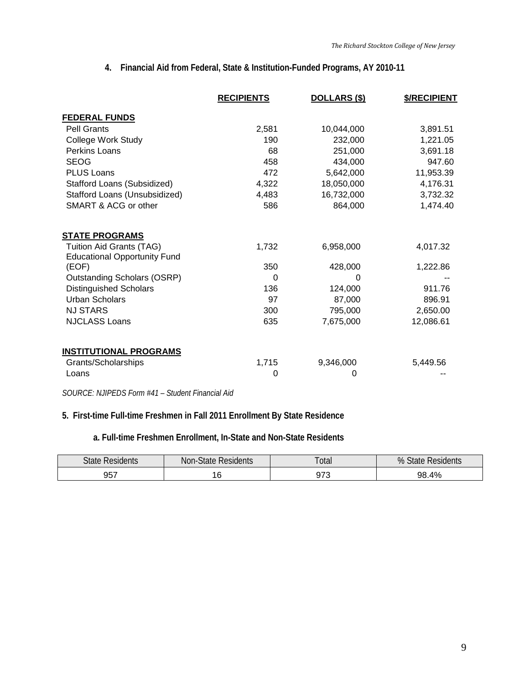### **4. Financial Aid from Federal, State & Institution-Funded Programs, AY 2010-11**

<span id="page-8-0"></span>

|                                                                 | <b>RECIPIENTS</b> | DOLLARS (\$) | \$/RECIPIENT |
|-----------------------------------------------------------------|-------------------|--------------|--------------|
| <b>FEDERAL FUNDS</b>                                            |                   |              |              |
| <b>Pell Grants</b>                                              | 2,581             | 10,044,000   | 3,891.51     |
| College Work Study                                              | 190               | 232,000      | 1,221.05     |
| Perkins Loans                                                   | 68                | 251,000      | 3,691.18     |
| <b>SEOG</b>                                                     | 458               | 434,000      | 947.60       |
| <b>PLUS Loans</b>                                               | 472               | 5,642,000    | 11,953.39    |
| Stafford Loans (Subsidized)                                     | 4,322             | 18,050,000   | 4,176.31     |
| Stafford Loans (Unsubsidized)                                   | 4,483             | 16,732,000   | 3,732.32     |
| SMART & ACG or other                                            | 586               | 864,000      | 1,474.40     |
| <b>STATE PROGRAMS</b>                                           |                   |              |              |
| Tuition Aid Grants (TAG)<br><b>Educational Opportunity Fund</b> | 1,732             | 6,958,000    | 4,017.32     |
| (EOF)                                                           | 350               | 428,000      | 1,222.86     |
| <b>Outstanding Scholars (OSRP)</b>                              | 0                 | 0            |              |
| <b>Distinguished Scholars</b>                                   | 136               | 124,000      | 911.76       |
| <b>Urban Scholars</b>                                           | 97                | 87,000       | 896.91       |
| <b>NJ STARS</b>                                                 | 300               | 795,000      | 2,650.00     |
| <b>NJCLASS Loans</b>                                            | 635               | 7,675,000    | 12,086.61    |
| <b>INSTITUTIONAL PROGRAMS</b>                                   |                   |              |              |
| Grants/Scholarships                                             | 1,715             | 9,346,000    | 5,449.56     |
| Loans                                                           | 0                 | 0            |              |

*SOURCE: NJIPEDS Form #41 – Student Financial Aid*

### **5. First-time Full-time Freshmen in Fall 2011 Enrollment By State Residence**

**a. Full-time Freshmen Enrollment, In-State and Non-State Residents**

| <b>State</b><br>Residents | Non-.<br>Residents<br>-Jidle- | <b>Property of the United States</b><br>otal | %<br>Residents<br>$\sim$<br>эгаге |  |  |
|---------------------------|-------------------------------|----------------------------------------------|-----------------------------------|--|--|
| 957                       | £                             | ~70                                          | 4%                                |  |  |
|                           |                               | U I U                                        | 98.                               |  |  |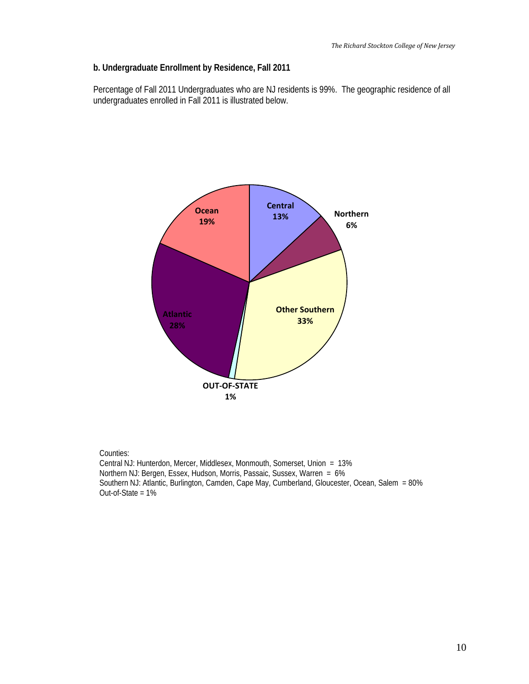### **b. Undergraduate Enrollment by Residence, Fall 2011**

Percentage of Fall 2011 Undergraduates who are NJ residents is 99%. The geographic residence of all undergraduates enrolled in Fall 2011 is illustrated below.



#### Counties:

Central NJ: Hunterdon, Mercer, Middlesex, Monmouth, Somerset, Union = 13% Northern NJ: Bergen, Essex, Hudson, Morris, Passaic, Sussex, Warren = 6% Southern NJ: Atlantic, Burlington, Camden, Cape May, Cumberland, Gloucester, Ocean, Salem = 80% Out-of-State = 1%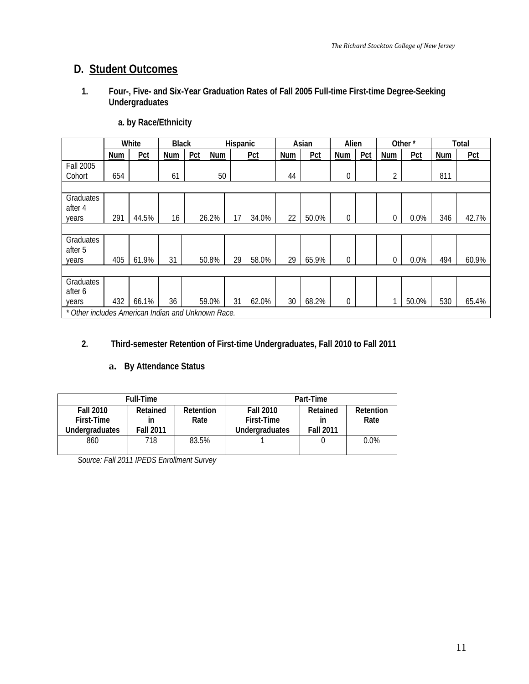### <span id="page-10-0"></span>**D. Student Outcomes**

**1. Four-, Five- and Six-Year Graduation Rates of Fall 2005 Full-time First-time Degree-Seeking Undergraduates** 

|                                                    |     | White | <b>Black</b> |     |       | <b>Hispanic</b> |       |     | Asian | Alien          |     |             | Other* |            | Total |
|----------------------------------------------------|-----|-------|--------------|-----|-------|-----------------|-------|-----|-------|----------------|-----|-------------|--------|------------|-------|
|                                                    | Num | Pct   | <b>Num</b>   | Pct | Num   | Pct             |       | Num | Pct   | <b>Num</b>     | Pct | Num         | Pct    | <b>Num</b> | Pct   |
| <b>Fall 2005</b>                                   |     |       |              |     |       |                 |       |     |       |                |     |             |        |            |       |
| Cohort                                             | 654 |       | 61           |     | 50    |                 |       | 44  |       | $\theta$       |     | 2           |        | 811        |       |
|                                                    |     |       |              |     |       |                 |       |     |       |                |     |             |        |            |       |
| Graduates                                          |     |       |              |     |       |                 |       |     |       |                |     |             |        |            |       |
| after 4                                            |     |       |              |     |       |                 |       |     |       |                |     |             |        |            |       |
| years                                              | 291 | 44.5% | 16           |     | 26.2% | 17              | 34.0% | 22  | 50.0% | $\overline{0}$ |     | 0           | 0.0%   | 346        | 42.7% |
|                                                    |     |       |              |     |       |                 |       |     |       |                |     |             |        |            |       |
| Graduates                                          |     |       |              |     |       |                 |       |     |       |                |     |             |        |            |       |
| after 5                                            |     |       |              |     |       |                 |       |     |       |                |     |             |        |            |       |
| years                                              | 405 | 61.9% | 31           |     | 50.8% | 29              | 58.0% | 29  | 65.9% | $\overline{0}$ |     | $\mathbf 0$ | 0.0%   | 494        | 60.9% |
|                                                    |     |       |              |     |       |                 |       |     |       |                |     |             |        |            |       |
| Graduates                                          |     |       |              |     |       |                 |       |     |       |                |     |             |        |            |       |
| after 6                                            |     |       |              |     |       |                 |       |     |       |                |     |             |        |            |       |
| years                                              | 432 | 66.1% | 36           |     | 59.0% | 31              | 62.0% | 30  | 68.2% | 0              |     |             | 50.0%  | 530        | 65.4% |
| * Other includes American Indian and Unknown Race. |     |       |              |     |       |                 |       |     |       |                |     |             |        |            |       |

### **a. by Race/Ethnicity**

### **2. Third-semester Retention of First-time Undergraduates, Fall 2010 to Fall 2011**

### **a. By Attendance Status**

|                  | <b>Full-Time</b> |                  | Part-Time             |                  |           |  |  |  |
|------------------|------------------|------------------|-----------------------|------------------|-----------|--|--|--|
| <b>Fall 2010</b> | Retained         | <b>Retention</b> | <b>Fall 2010</b>      | Retained         | Retention |  |  |  |
| First-Time       | ın               | Rate             | First-Time            | ın               | Rate      |  |  |  |
| Underaraduates   | <b>Fall 2011</b> |                  | <b>Underaraduates</b> | <b>Fall 2011</b> |           |  |  |  |
| 860              | 718              | 83.5%            |                       |                  | $0.0\%$   |  |  |  |
|                  |                  |                  |                       |                  |           |  |  |  |

*Source: Fall 2011 IPEDS Enrollment Survey*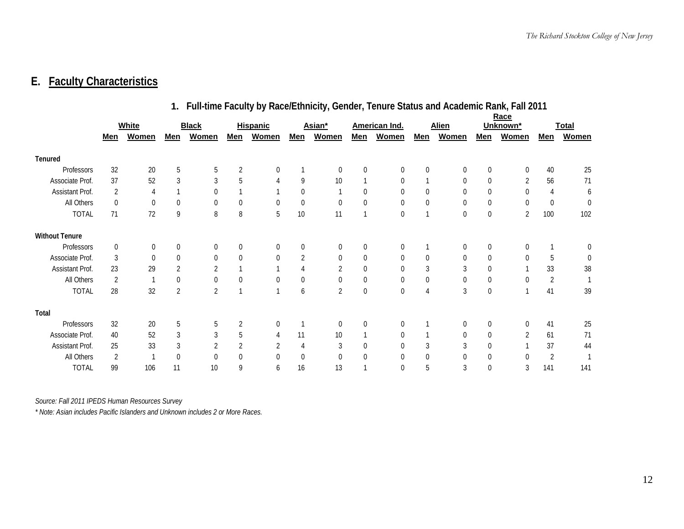### <span id="page-11-0"></span>**E. Faculty Characteristics**

|                       | 1. Full-time Faculty by Race/Ethnicity, Gender, Tenure Status and Academic Rank, Fall 2011 |              |             |                |                |                  |                |                |     |                |             |                  |                  |                |          |                  |
|-----------------------|--------------------------------------------------------------------------------------------|--------------|-------------|----------------|----------------|------------------|----------------|----------------|-----|----------------|-------------|------------------|------------------|----------------|----------|------------------|
|                       |                                                                                            |              |             |                |                |                  |                |                |     |                |             |                  |                  | Race           |          |                  |
|                       |                                                                                            | <b>White</b> |             | <b>Black</b>   |                | <b>Hispanic</b>  |                | Asian*         |     | American Ind.  |             | <b>Alien</b>     |                  | Unknown*       |          | <b>Total</b>     |
|                       | Men                                                                                        | <b>Women</b> | Men         | <b>Women</b>   | Men            | <b>Women</b>     | Men            | <b>Women</b>   | Men | <b>Women</b>   | <u>Men</u>  | <b>Women</b>     | <u>Men</u>       | <b>Women</b>   | Men      | <b>Women</b>     |
| <b>Tenured</b>        |                                                                                            |              |             |                |                |                  |                |                |     |                |             |                  |                  |                |          |                  |
| Professors            | 32                                                                                         | 20           | 5           | 5              | 2              | 0                |                | $\mathbf 0$    | 0   | 0              | $\mathbf 0$ | $\Omega$         | $\mathbf 0$      | $\Omega$       | 40       | 25               |
| Associate Prof.       | 37                                                                                         | 52           | 3           | 3              | 5              | 4                | 9              | 10             |     | $\theta$       |             | $\theta$         | $\boldsymbol{0}$ | 2              | 56       | 71               |
| Assistant Prof.       | 2                                                                                          | 4            |             | $\mathbf 0$    |                |                  | 0              |                | 0   | $\overline{0}$ | 0           | $\Omega$         | 0                | $\Omega$       | 4        | 6                |
| All Others            | 0                                                                                          | $\theta$     | $\theta$    | 0              | $\mathbf 0$    | $\boldsymbol{0}$ | 0              | $\mathbf 0$    | 0   | 0              | 0           | $\mathbf 0$      | $\boldsymbol{0}$ | $\Omega$       | $\theta$ | $\boldsymbol{0}$ |
| <b>TOTAL</b>          | 71                                                                                         | 72           | 9           | 8              | 8              | 5                | 10             | 11             |     | 0              |             | $\boldsymbol{0}$ | $\pmb{0}$        | $\overline{2}$ | 100      | 102              |
| <b>Without Tenure</b> |                                                                                            |              |             |                |                |                  |                |                |     |                |             |                  |                  |                |          |                  |
| Professors            | $\mathbf{0}$                                                                               | $\mathbf 0$  | $\mathbf 0$ | $\mathbf{0}$   | $\mathbf 0$    | $\overline{0}$   | $\overline{0}$ | $\mathbf 0$    | 0   | 0              |             | $\overline{0}$   | $\overline{0}$   | $\Omega$       |          | 0                |
| Associate Prof.       | 3                                                                                          | $\theta$     | $\mathbf 0$ | 0              | $\mathbf 0$    | $\overline{0}$   | $\overline{2}$ | 0              | 0   | 0              | $\mathbf 0$ | $\overline{0}$   | 0                | $\Omega$       | 5        | 0                |
| Assistant Prof.       | 23                                                                                         | 29           |             | 2              |                |                  | 4              | $\sqrt{2}$     | 0   | $\overline{0}$ | 3           | 3                | $\boldsymbol{0}$ |                | 33       | 38               |
| All Others            | 2                                                                                          |              | $\Omega$    | 0              | $\theta$       | $\mathbf 0$      | 0              | 0              | 0   | 0              | $\mathbf 0$ | $\mathbf 0$      | $\boldsymbol{0}$ | $\Omega$       | 2        |                  |
| <b>TOTAL</b>          | 28                                                                                         | 32           | 2           | $\overline{2}$ | $\overline{1}$ | $\overline{1}$   | 6              | $\overline{2}$ | 0   | 0              | 4           | 3                | $\mathbf 0$      |                | 41       | 39               |
| Total                 |                                                                                            |              |             |                |                |                  |                |                |     |                |             |                  |                  |                |          |                  |
| Professors            | 32                                                                                         | 20           | 5           | 5              | $\sqrt{2}$     | $\overline{0}$   |                | 0              | 0   | 0              |             | $\overline{0}$   | $\boldsymbol{0}$ | <sup>0</sup>   | 41       | 25               |
| Associate Prof.       | 40                                                                                         | 52           | 3           | 3              | 5              | 4                | 11             | 10             |     | 0              |             | $\mathbf 0$      | $\mathbf 0$      | 2              | 61       | 71               |
| Assistant Prof.       | 25                                                                                         | 33           | 3           | 2              | $\sqrt{2}$     | 2                | 4              | 3              | 0   | 0              | 3           | 3                | $\mathbf 0$      |                | 37       | 44               |
| All Others            | 2                                                                                          |              | $\Omega$    | $\mathbf 0$    | 0              | 0                | $\mathbf 0$    | 0              | 0   | 0              | 0           | <sup>0</sup>     | $\mathbf 0$      | $\Omega$       | 2        |                  |
| <b>TOTAL</b>          | 99                                                                                         | 106          | 11          | 10             | 9              | 6                | 16             | 13             |     | $\theta$       | 5           | 3                | $\theta$         | 3              | 141      | 141              |

*Source: Fall 2011 IPEDS Human Resources Survey*

*\* Note: Asian includes Pacific Islanders and Unknown includes 2 or More Races.*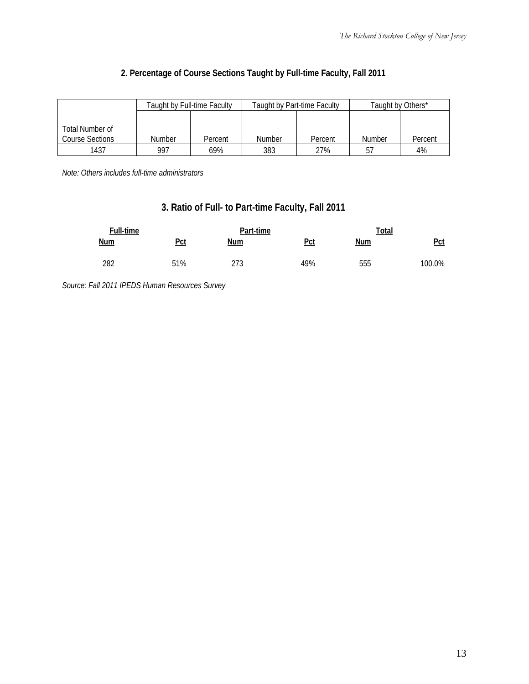|                 |               | Taught by Full-time Faculty |               | Taught by Part-time Faculty | Taught by Others* |         |
|-----------------|---------------|-----------------------------|---------------|-----------------------------|-------------------|---------|
|                 |               |                             |               |                             |                   |         |
| Total Number of |               |                             |               |                             |                   |         |
| Course Sections | <b>Number</b> | Percent                     | <b>Number</b> | Percent                     | <b>Number</b>     | Percent |
| 1437            | 997           | 69%                         | 383           | 27%                         | 57                | 4%      |

### **2. Percentage of Course Sections Taught by Full-time Faculty, Fall 2011**

*Note: Others includes full-time administrators*

### **3. Ratio of Full- to Part-time Faculty, Fall 2011**

| Full-time  |            | Part-time  |     | Total      |        |  |
|------------|------------|------------|-----|------------|--------|--|
| <u>Num</u> | <u>Pct</u> | <u>Num</u> | Pct | <b>Num</b> | $Pet$  |  |
| 282        | 51%        | 273        | 49% | 555        | 100.0% |  |

*Source: Fall 2011 IPEDS Human Resources Survey*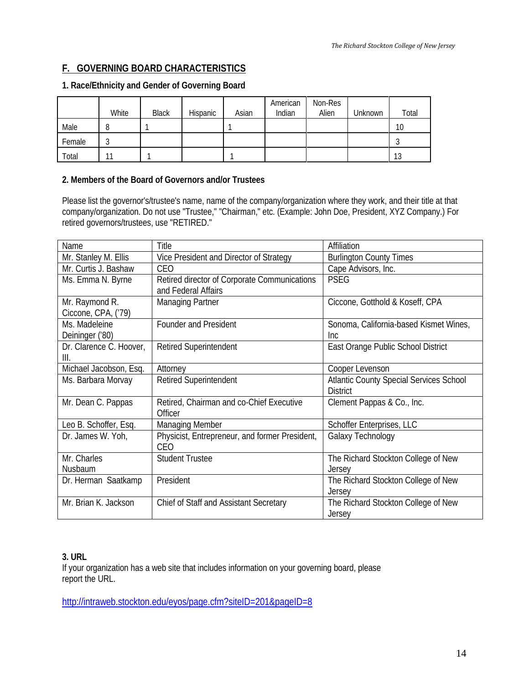### <span id="page-13-0"></span>**F. GOVERNING BOARD CHARACTERISTICS**

### **1. Race/Ethnicity and Gender of Governing Board**

|        | White | <b>Black</b> | Hispanic | Asian | American<br>Indian | Non-Res<br>Alien | Unknown | Total |
|--------|-------|--------------|----------|-------|--------------------|------------------|---------|-------|
| Male   |       |              |          |       |                    |                  |         | 10    |
| Female |       |              |          |       |                    |                  |         |       |
| Total  | 11    |              |          |       |                    |                  |         | 13    |

### **2. Members of the Board of Governors and/or Trustees**

Please list the governor's/trustee's name, name of the company/organization where they work, and their title at that company/organization. Do not use "Trustee," "Chairman," etc. (Example: John Doe, President, XYZ Company.) For retired governors/trustees, use "RETIRED."

| Name                    | Title                                          | Affiliation                                    |
|-------------------------|------------------------------------------------|------------------------------------------------|
| Mr. Stanley M. Ellis    | Vice President and Director of Strategy        | <b>Burlington County Times</b>                 |
| Mr. Curtis J. Bashaw    | CEO                                            | Cape Advisors, Inc.                            |
| Ms. Emma N. Byrne       | Retired director of Corporate Communications   | <b>PSEG</b>                                    |
|                         | and Federal Affairs                            |                                                |
| Mr. Raymond R.          | <b>Managing Partner</b>                        | Ciccone, Gotthold & Koseff, CPA                |
| Ciccone, CPA, ('79)     |                                                |                                                |
| Ms. Madeleine           | Founder and President                          | Sonoma, California-based Kismet Wines,         |
| Deininger ('80)         |                                                | Inc                                            |
| Dr. Clarence C. Hoover, | <b>Retired Superintendent</b>                  | East Orange Public School District             |
| III.                    |                                                |                                                |
| Michael Jacobson, Esq.  | Attorney                                       | Cooper Levenson                                |
| Ms. Barbara Morvay      | <b>Retired Superintendent</b>                  | <b>Atlantic County Special Services School</b> |
|                         |                                                | <b>District</b>                                |
| Mr. Dean C. Pappas      | Retired, Chairman and co-Chief Executive       | Clement Pappas & Co., Inc.                     |
|                         | Officer                                        |                                                |
| Leo B. Schoffer, Esq.   | <b>Managing Member</b>                         | Schoffer Enterprises, LLC                      |
| Dr. James W. Yoh,       | Physicist, Entrepreneur, and former President, | Galaxy Technology                              |
|                         | CEO                                            |                                                |
| Mr. Charles             | <b>Student Trustee</b>                         | The Richard Stockton College of New            |
| Nusbaum                 |                                                | Jersey                                         |
| Dr. Herman Saatkamp     | President                                      | The Richard Stockton College of New            |
|                         |                                                | Jersey                                         |
| Mr. Brian K. Jackson    | Chief of Staff and Assistant Secretary         | The Richard Stockton College of New            |
|                         |                                                | Jersey                                         |

### **3. URL**

If your organization has a web site that includes information on your governing board, please report the URL.

<http://intraweb.stockton.edu/eyos/page.cfm?siteID=201&pageID=8>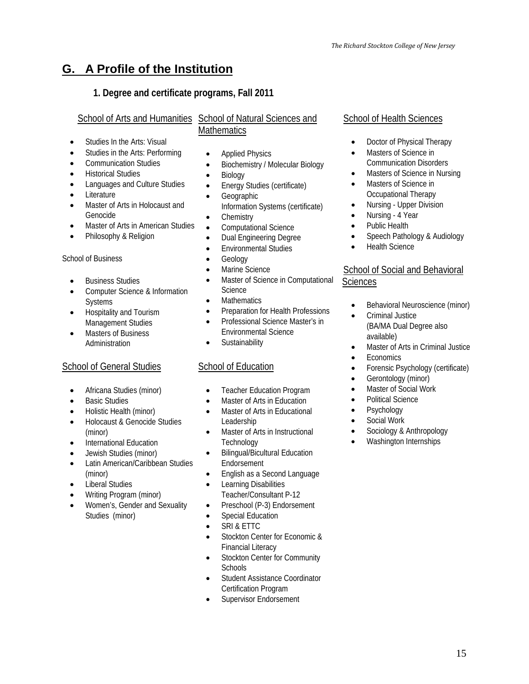### <span id="page-14-0"></span>**G. A Profile of the Institution**

### **1. Degree and certificate programs, Fall 2011**

### School of Arts and Humanities School of Natural Sciences and **Mathematics**

- [Studies In the Arts: Visual](http://talon.stockton.edu/eyos/page.cfm?siteID=14&pageID=22)
- Studies in the Arts: Performing
- [Communication Studies](http://talon.stockton.edu/eyos/page.cfm?siteID=14&pageID=20)
- [Historical Studies](http://talon.stockton.edu/eyos/page.cfm?siteID=14&pageID=23)
- [Languages and Culture Studies](http://talon.stockton.edu/eyos/page.cfm?siteID=14&pageID=24)
- [Literature](http://talon.stockton.edu/eyos/page.cfm?siteID=14&pageID=25)
- Master of Arts in Holocaust and Genocide
- Master of Arts in American Studies
- Philosophy & Religion

### School of Business

- [Business Studies](http://intraweb.stockton.edu/eyos/page.cfm?siteID=150&pageID=7)
- [Computer Science & Information](http://intraweb.stockton.edu/eyos/page.cfm?siteID=150&pageID=7)  **Systems**
- [Hospitality and Tourism](http://intraweb.stockton.edu/eyos/page.cfm?siteID=150&pageID=7)  [Management Studies](http://intraweb.stockton.edu/eyos/page.cfm?siteID=150&pageID=7)
- Masters of Business Administration

### [School of General Studies](http://talon.stockton.edu/eyos/page.cfm?siteID=18&pageID=1)

- [Africana Studies](http://talon.stockton.edu/eyos/page.cfm?siteID=18&pageID=2) (minor)
- **Basic Studies**
- [Holistic Health](http://talon.stockton.edu/eyos/page.cfm?siteID=18&pageID=36) (minor)
- Holocaust [& Genocide Studies](http://talon.stockton.edu/eyos/page.cfm?siteID=18&pageID=37) (minor)
- [International Education](http://talon.stockton.edu/eyos/page.cfm?siteID=18&pageID=38)
- [Jewish Studies](http://talon.stockton.edu/eyos/page.cfm?siteID=18&pageID=39) (minor)
- [Latin American/Caribbean Studies](http://talon.stockton.edu/eyos/page.cfm?siteID=18&pageID=40) (minor)
- [Liberal Studies](http://talon.stockton.edu/eyos/page.cfm?siteID=18&pageID=41)
- [Writing Program](http://talon.stockton.edu/eyos/page.cfm?siteID=18&pageID=44) (minor)
- [Women's, Gender and Sexuality](http://intraweb.stockton.edu/eyos/page.cfm?siteID=18&pageID=43)  [Studies](http://intraweb.stockton.edu/eyos/page.cfm?siteID=18&pageID=43) (minor)
- Applied Physics
- [Biochemistry / Molecular Biology](http://talon.stockton.edu/eyos/page.cfm?siteID=14&pageID=35)
- [Biology](http://talon.stockton.edu/eyos/page.cfm?siteID=14&pageID=36)
- [Energy Studies](http://talon.stockton.edu/eyos/page.cfm?siteID=14&pageID=38) (certificate)
	- **Geographic** [Information Systems](http://loki.stockton.edu/~wwwgis/) (certificate)
- [Chemistry](http://talon.stockton.edu/eyos/page.cfm?siteID=14&pageID=37)
- [Computational Science](http://intraweb.stockton.edu/eyos/page.cfm?siteID=14&pageID=118)
- [Dual Engineering Degree](http://talon.stockton.edu/eyos/page.cfm?siteID=14&pageID=39)
- [Environmental Studies](http://talon.stockton.edu/eyos/page.cfm?siteID=14&pageID=40)
- **Geology**
- Marine Science
- Master of Science in Computational **Science**
- **Mathematics**
- Preparation for Health Professions
- Professional Science Master's in Environmental Science
- Sustainability

### [School of Education](http://intraweb.stockton.edu/eyos/page.cfm?siteID=84&pageID=1)

- [Teacher Education Program](http://intraweb.stockton.edu/eyos/page.cfm?siteID=84&pageID=1)
- [Master of Arts in Education](http://intraweb.stockton.edu/eyos/page.cfm?siteID=73&pageID=56)
- Master of Arts in Educational [Leadership](http://intraweb.stockton.edu/eyos/teacher_ed/Master%20of%20Arts%20in%20Educational%20Leadership%202010-2011.pdf)
- [Master of Arts in Instructional](http://intraweb.stockton.edu/eyos/page.cfm?siteID=73&pageID=47)  **Technology**
- [Bilingual/Bicultural Education](http://intraweb.stockton.edu/eyos/page.cfm?siteID=84&pageID=3)  **Endorsement**
- [English as a Second Language](http://intraweb.stockton.edu/eyos/page.cfm?siteID=84&pageID=3)
- [Learning Disabilities](http://intraweb.stockton.edu/eyos/page.cfm?siteID=84&pageID=30)  [Teacher/Consultant P-12](http://intraweb.stockton.edu/eyos/page.cfm?siteID=84&pageID=30)
- Preschool (P-3) Endorsement
- Special Education
- [SRI & ETTC](http://www.ettc.net/)
- [Stockton Center for Economic &](http://talon.stockton.edu/eyos/page.cfm?siteID=199&pageID=1)  [Financial Literacy](http://talon.stockton.edu/eyos/page.cfm?siteID=199&pageID=1)
- Stockton Center for Community **Schools**
- [Student Assistance Coordinator](http://intraweb.stockton.edu/eyos/page.cfm?siteID=73&pageID=215)  [Certification Program](http://intraweb.stockton.edu/eyos/page.cfm?siteID=73&pageID=215)
- Supervisor Endorsement

### School of Health Sciences

- Doctor of Physical Therapy
- Masters of Science in Communication Disorders
- Masters of Science in Nursing
- Masters of Science in Occupational Therapy
- [Nursing Upper Division](http://intraweb.stockton.edu/eyos/page.cfm?siteID=168&pageID=29)
- [Nursing 4 Year](http://intraweb.stockton.edu/eyos/page.cfm?siteID=168&pageID=30)
- Public Health
- Speech Pathology & Audiology
- Health Science

### School of Social and Behavioral **Sciences**

- Behavioral Neuroscience (minor)
- [Criminal Justice](http://intraweb.stockton.edu/eyos/page.cfm?siteID=163&pageID=8)  [\(BA/MA Dual Degree](http://intraweb.stockton.edu/eyos/page.cfm?siteID=163&pageID=8#DualDegree) also available)
- [Master of Arts in Criminal Justice](http://intraweb.stockton.edu/eyos/page.cfm?siteID=73&pageID=44)
- **Economics**
- [Forensic Psychology](http://intraweb.stockton.edu/eyos/page.cfm?siteID=163&pageID=8#ForensicPsyc) (certificate)
- [Gerontology](http://intraweb.stockton.edu/eyos/page.cfm?siteID=163&pageID=10) (minor)
- Master of Social Work
- Political Science
- **Psychology**
- Social Work
- [Sociology & Anthropology](http://intraweb.stockton.edu/eyos/page.cfm?siteID=163&pageID=14)
- [Washington Internships](http://intraweb.stockton.edu/eyos/page.cfm?siteID=163&pageID=15)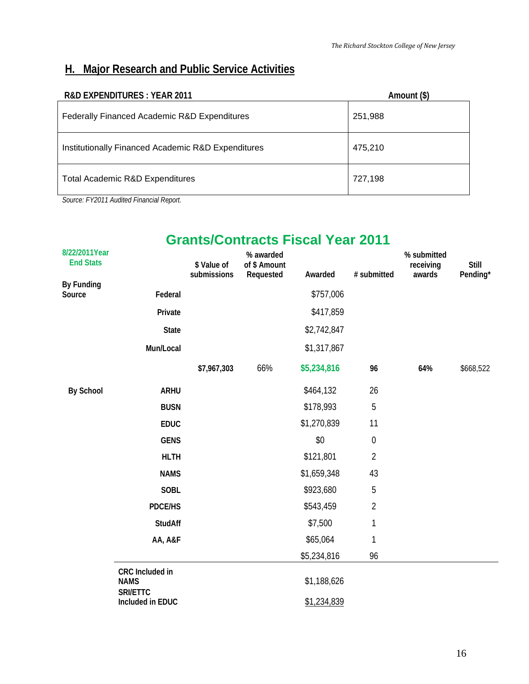### <span id="page-15-0"></span>**H. Major Research and Public Service Activities**

| <b>R&amp;D EXPENDITURES: YEAR 2011</b>             | Amount (\$) |
|----------------------------------------------------|-------------|
| Federally Financed Academic R&D Expenditures       | 251,988     |
| Institutionally Financed Academic R&D Expenditures | 475,210     |
| Total Academic R&D Expenditures                    | 727,198     |

*Source: FY2011 Audited Financial Report.*

### **Grants/Contracts Fiscal Year 2011**

| 8/22/2011Year<br><b>End Stats</b> |                                            | \$ Value of<br>submissions | % awarded<br>of \$ Amount<br>Requested | Awarded     | # submitted      | % submitted<br>receiving<br>awards | <b>Still</b><br>Pending* |
|-----------------------------------|--------------------------------------------|----------------------------|----------------------------------------|-------------|------------------|------------------------------------|--------------------------|
| By Funding<br>Source              | Federal                                    |                            |                                        | \$757,006   |                  |                                    |                          |
|                                   | Private                                    |                            |                                        | \$417,859   |                  |                                    |                          |
|                                   | <b>State</b>                               |                            |                                        | \$2,742,847 |                  |                                    |                          |
|                                   | Mun/Local                                  |                            |                                        | \$1,317,867 |                  |                                    |                          |
|                                   |                                            | \$7,967,303                | 66%                                    | \$5,234,816 | 96               | 64%                                | \$668,522                |
| <b>By School</b>                  | <b>ARHU</b>                                |                            |                                        | \$464,132   | 26               |                                    |                          |
|                                   | <b>BUSN</b>                                |                            |                                        | \$178,993   | 5                |                                    |                          |
|                                   | <b>EDUC</b>                                |                            |                                        | \$1,270,839 | 11               |                                    |                          |
|                                   | <b>GENS</b>                                |                            |                                        | \$0         | $\boldsymbol{0}$ |                                    |                          |
|                                   | <b>HLTH</b>                                |                            |                                        | \$121,801   | $\overline{2}$   |                                    |                          |
|                                   | <b>NAMS</b>                                |                            |                                        | \$1,659,348 | 43               |                                    |                          |
|                                   | <b>SOBL</b>                                |                            |                                        | \$923,680   | 5                |                                    |                          |
|                                   | <b>PDCE/HS</b>                             |                            |                                        | \$543,459   | $\overline{2}$   |                                    |                          |
|                                   | <b>StudAff</b>                             |                            |                                        | \$7,500     | $\mathbf{1}$     |                                    |                          |
|                                   | AA, A&F                                    |                            |                                        | \$65,064    | 1                |                                    |                          |
|                                   |                                            |                            |                                        | \$5,234,816 | 96               |                                    |                          |
|                                   | CRC Included in<br><b>NAMS</b><br>SRI/ETTC |                            |                                        | \$1,188,626 |                  |                                    |                          |
|                                   | Included in EDUC                           |                            |                                        | \$1,234,839 |                  |                                    |                          |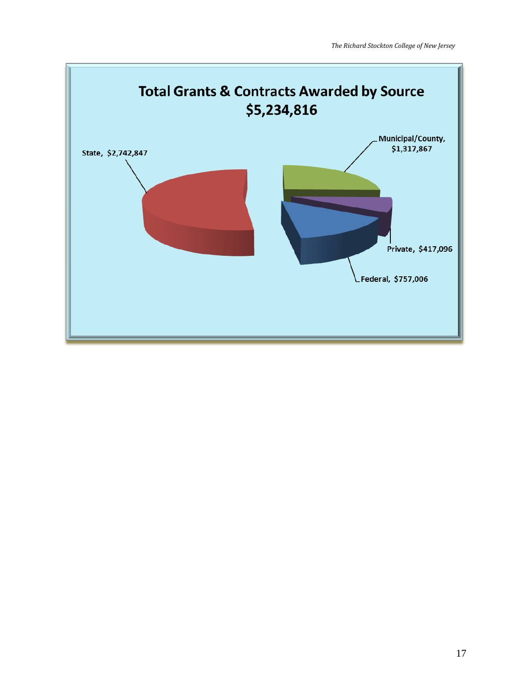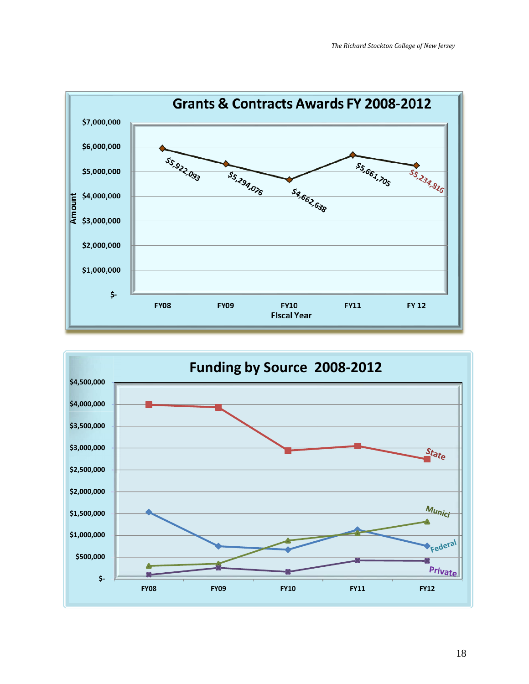

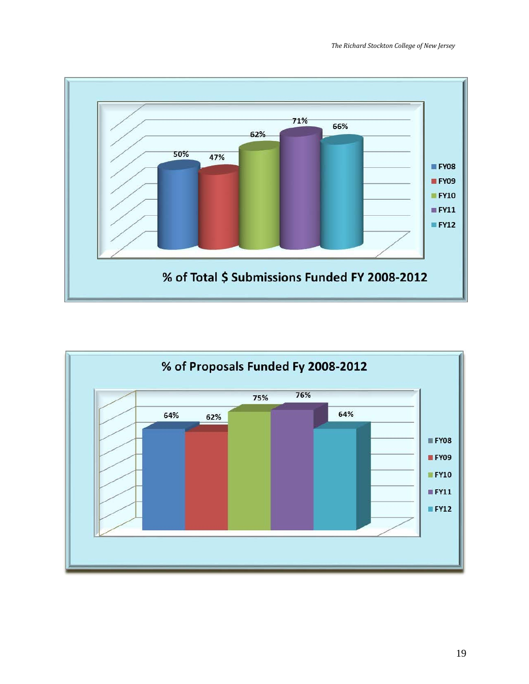

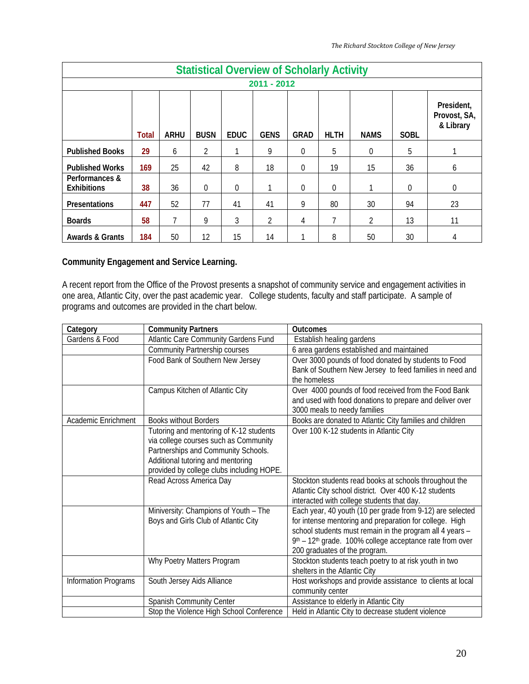|                                      | <b>Statistical Overview of Scholarly Activity</b> |             |             |             |             |             |             |             |             |                                         |  |  |  |
|--------------------------------------|---------------------------------------------------|-------------|-------------|-------------|-------------|-------------|-------------|-------------|-------------|-----------------------------------------|--|--|--|
| 2011 - 2012                          |                                                   |             |             |             |             |             |             |             |             |                                         |  |  |  |
|                                      | <b>Total</b>                                      | <b>ARHU</b> | <b>BUSN</b> | <b>EDUC</b> | <b>GENS</b> | <b>GRAD</b> | <b>HLTH</b> | <b>NAMS</b> | <b>SOBL</b> | President,<br>Provost, SA,<br>& Library |  |  |  |
| <b>Published Books</b>               | 29                                                | 6           | 2           |             | 9           | $\theta$    | 5           | $\Omega$    | 5           |                                         |  |  |  |
| <b>Published Works</b>               | 169                                               | 25          | 42          | 8           | 18          | $\Omega$    | 19          | 15          | 36          | 6                                       |  |  |  |
| Performances &<br><b>Exhibitions</b> | 38                                                | 36          | $\theta$    | 0           |             | $\Omega$    | $\Omega$    |             | $\theta$    | $\mathbf 0$                             |  |  |  |
| Presentations                        | 447                                               | 52          | 77          | 41          | 41          | 9           | 80          | 30          | 94          | 23                                      |  |  |  |
| <b>Boards</b>                        | 58                                                | 7           | 9           | 3           | 2           | 4           | 7           | 2           | 13          | 11                                      |  |  |  |
| <b>Awards &amp; Grants</b>           | 184                                               | 50          | 12          | 15          | 14          |             | 8           | 50          | 30          |                                         |  |  |  |

### **Community Engagement and Service Learning.**

A recent report from the Office of the Provost presents a snapshot of community service and engagement activities in one area, Atlantic City, over the past academic year. College students, faculty and staff participate. A sample of programs and outcomes are provided in the chart below.

| Category             | <b>Community Partners</b>                                                                                                                                                                                 | <b>Outcomes</b>                                                                                                                                                                                                                                                               |
|----------------------|-----------------------------------------------------------------------------------------------------------------------------------------------------------------------------------------------------------|-------------------------------------------------------------------------------------------------------------------------------------------------------------------------------------------------------------------------------------------------------------------------------|
| Gardens & Food       | Atlantic Care Community Gardens Fund                                                                                                                                                                      | Establish healing gardens                                                                                                                                                                                                                                                     |
|                      | <b>Community Partnership courses</b>                                                                                                                                                                      | 6 area gardens established and maintained                                                                                                                                                                                                                                     |
|                      | Food Bank of Southern New Jersey                                                                                                                                                                          | Over 3000 pounds of food donated by students to Food<br>Bank of Southern New Jersey to feed families in need and<br>the homeless                                                                                                                                              |
|                      | Campus Kitchen of Atlantic City                                                                                                                                                                           | Over 4000 pounds of food received from the Food Bank<br>and used with food donations to prepare and deliver over<br>3000 meals to needy families                                                                                                                              |
| Academic Enrichment  | <b>Books without Borders</b>                                                                                                                                                                              | Books are donated to Atlantic City families and children                                                                                                                                                                                                                      |
|                      | Tutoring and mentoring of K-12 students<br>via college courses such as Community<br>Partnerships and Community Schools.<br>Additional tutoring and mentoring<br>provided by college clubs including HOPE. | Over 100 K-12 students in Atlantic City                                                                                                                                                                                                                                       |
|                      | Read Across America Day                                                                                                                                                                                   | Stockton students read books at schools throughout the<br>Atlantic City school district. Over 400 K-12 students<br>interacted with college students that day.                                                                                                                 |
|                      | Miniversity: Champions of Youth - The<br>Boys and Girls Club of Atlantic City                                                                                                                             | Each year, 40 youth (10 per grade from 9-12) are selected<br>for intense mentoring and preparation for college. High<br>school students must remain in the program all 4 years -<br>9th - 12th grade. 100% college acceptance rate from over<br>200 graduates of the program. |
|                      | Why Poetry Matters Program                                                                                                                                                                                | Stockton students teach poetry to at risk youth in two<br>shelters in the Atlantic City                                                                                                                                                                                       |
| Information Programs | South Jersey Aids Alliance                                                                                                                                                                                | Host workshops and provide assistance to clients at local<br>community center                                                                                                                                                                                                 |
|                      | Spanish Community Center                                                                                                                                                                                  | Assistance to elderly in Atlantic City                                                                                                                                                                                                                                        |
|                      | Stop the Violence High School Conference                                                                                                                                                                  | Held in Atlantic City to decrease student violence                                                                                                                                                                                                                            |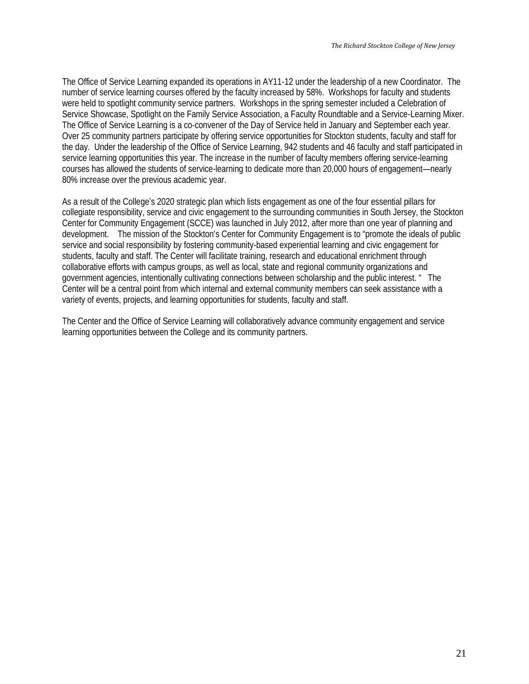The Office of Service Learning expanded its operations in AY11-12 under the leadership of a new Coordinator. The number of service learning courses offered by the faculty increased by 58%. Workshops for faculty and students were held to spotlight community service partners. Workshops in the spring semester included a Celebration of Service Showcase, Spotlight on the Family Service Association, a Faculty Roundtable and a Service-Learning Mixer. The Office of Service Learning is a co-convener of the Day of Service held in January and September each year. Over 25 community partners participate by offering service opportunities for Stockton students, faculty and staff for the day. Under the leadership of the Office of Service Learning, 942 students and 46 faculty and staff participated in service learning opportunities this year. The increase in the number of faculty members offering service-learning courses has allowed the students of service-learning to dedicate more than 20,000 hours of engagement—nearly 80% increase over the previous academic year.

As a result of the College's 2020 strategic plan which lists engagement as one of the four essential pillars for collegiate responsibility, service and civic engagement to the surrounding communities in South Jersey, the Stockton Center for Community Engagement (SCCE) was launched in July 2012, after more than one year of planning and development. The mission of the Stockton's Center for Community Engagement is to "promote the ideals of public service and social responsibility by fostering community-based experiential learning and civic engagement for students, faculty and staff. The Center will facilitate training, research and educational enrichment through collaborative efforts with campus groups, as well as local, state and regional community organizations and government agencies, intentionally cultivating connections between scholarship and the public interest. " The Center will be a central point from which internal and external community members can seek assistance with a variety of events, projects, and learning opportunities for students, faculty and staff.

The Center and the Office of Service Learning will collaboratively advance community engagement and service learning opportunities between the College and its community partners.